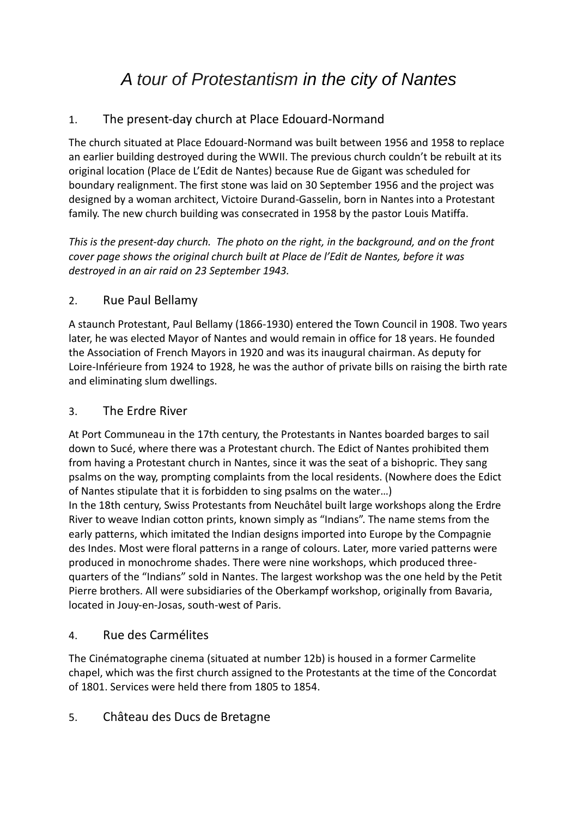# *A tour of Protestantism in the city of Nantes*

# 1. The present-day church at Place Edouard-Normand

The church situated at Place Edouard-Normand was built between 1956 and 1958 to replace an earlier building destroyed during the WWII. The previous church couldn't be rebuilt at its original location (Place de L'Edit de Nantes) because Rue de Gigant was scheduled for boundary realignment. The first stone was laid on 30 September 1956 and the project was designed by a woman architect, Victoire Durand-Gasselin, born in Nantes into a Protestant family. The new church building was consecrated in 1958 by the pastor Louis Matiffa.

*This is the present-day church. The photo on the right, in the background, and on the front cover page shows the original church built at Place de l'Edit de Nantes, before it was destroyed in an air raid on 23 September 1943.*

## 2. Rue Paul Bellamy

A staunch Protestant, Paul Bellamy (1866-1930) entered the Town Council in 1908. Two years later, he was elected Mayor of Nantes and would remain in office for 18 years. He founded the Association of French Mayors in 1920 and was its inaugural chairman. As deputy for Loire-Inférieure from 1924 to 1928, he was the author of private bills on raising the birth rate and eliminating slum dwellings.

### 3. The Erdre River

At Port Communeau in the 17th century, the Protestants in Nantes boarded barges to sail down to Sucé, where there was a Protestant church. The Edict of Nantes prohibited them from having a Protestant church in Nantes, since it was the seat of a bishopric. They sang psalms on the way, prompting complaints from the local residents. (Nowhere does the Edict of Nantes stipulate that it is forbidden to sing psalms on the water…)

In the 18th century, Swiss Protestants from Neuchâtel built large workshops along the Erdre River to weave Indian cotton prints, known simply as "Indians". The name stems from the early patterns, which imitated the Indian designs imported into Europe by the Compagnie des Indes. Most were floral patterns in a range of colours. Later, more varied patterns were produced in monochrome shades. There were nine workshops, which produced threequarters of the "Indians" sold in Nantes. The largest workshop was the one held by the Petit Pierre brothers. All were subsidiaries of the Oberkampf workshop, originally from Bavaria, located in Jouy-en-Josas, south-west of Paris.

#### 4. Rue des Carmélites

The Cinématographe cinema (situated at number 12b) is housed in a former Carmelite chapel, which was the first church assigned to the Protestants at the time of the Concordat of 1801. Services were held there from 1805 to 1854.

#### 5. Château des Ducs de Bretagne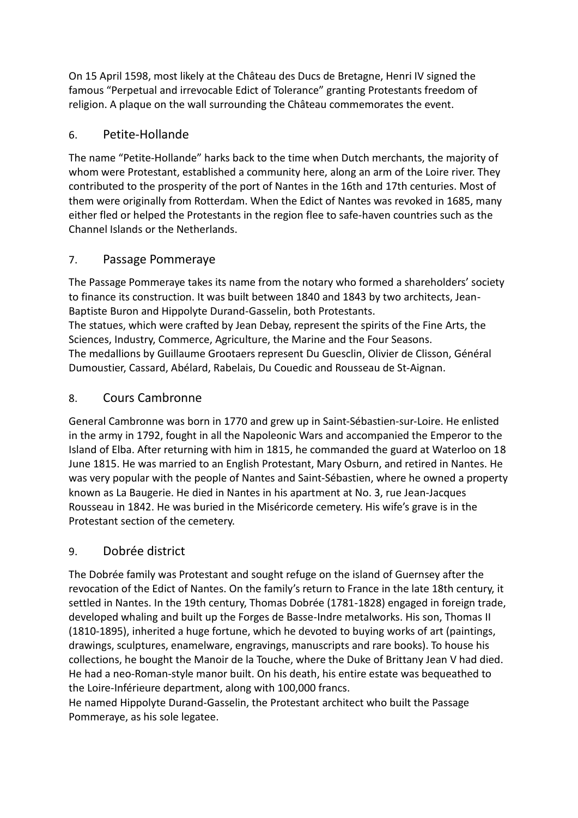On 15 April 1598, most likely at the Château des Ducs de Bretagne, Henri IV signed the famous "Perpetual and irrevocable Edict of Tolerance" granting Protestants freedom of religion. A plaque on the wall surrounding the Château commemorates the event.

# 6. Petite-Hollande

The name "Petite-Hollande" harks back to the time when Dutch merchants, the majority of whom were Protestant, established a community here, along an arm of the Loire river. They contributed to the prosperity of the port of Nantes in the 16th and 17th centuries. Most of them were originally from Rotterdam. When the Edict of Nantes was revoked in 1685, many either fled or helped the Protestants in the region flee to safe-haven countries such as the Channel Islands or the Netherlands.

## 7. Passage Pommeraye

The Passage Pommeraye takes its name from the notary who formed a shareholders' society to finance its construction. It was built between 1840 and 1843 by two architects, Jean-Baptiste Buron and Hippolyte Durand-Gasselin, both Protestants. The statues, which were crafted by Jean Debay, represent the spirits of the Fine Arts, the Sciences, Industry, Commerce, Agriculture, the Marine and the Four Seasons. The medallions by Guillaume Grootaers represent Du Guesclin, Olivier de Clisson, Général Dumoustier, Cassard, Abélard, Rabelais, Du Couedic and Rousseau de St-Aignan.

# 8. Cours Cambronne

General Cambronne was born in 1770 and grew up in Saint-Sébastien-sur-Loire. He enlisted in the army in 1792, fought in all the Napoleonic Wars and accompanied the Emperor to the Island of Elba. After returning with him in 1815, he commanded the guard at Waterloo on 18 June 1815. He was married to an English Protestant, Mary Osburn, and retired in Nantes. He was very popular with the people of Nantes and Saint-Sébastien, where he owned a property known as La Baugerie. He died in Nantes in his apartment at No. 3, rue Jean-Jacques Rousseau in 1842. He was buried in the Miséricorde cemetery. His wife's grave is in the Protestant section of the cemetery.

# 9. Dobrée district

The Dobrée family was Protestant and sought refuge on the island of Guernsey after the revocation of the Edict of Nantes. On the family's return to France in the late 18th century, it settled in Nantes. In the 19th century, Thomas Dobrée (1781-1828) engaged in foreign trade, developed whaling and built up the Forges de Basse-Indre metalworks. His son, Thomas II (1810-1895), inherited a huge fortune, which he devoted to buying works of art (paintings, drawings, sculptures, enamelware, engravings, manuscripts and rare books). To house his collections, he bought the Manoir de la Touche, where the Duke of Brittany Jean V had died. He had a neo-Roman-style manor built. On his death, his entire estate was bequeathed to the Loire-Inférieure department, along with 100,000 francs.

He named Hippolyte Durand-Gasselin, the Protestant architect who built the Passage Pommeraye, as his sole legatee.